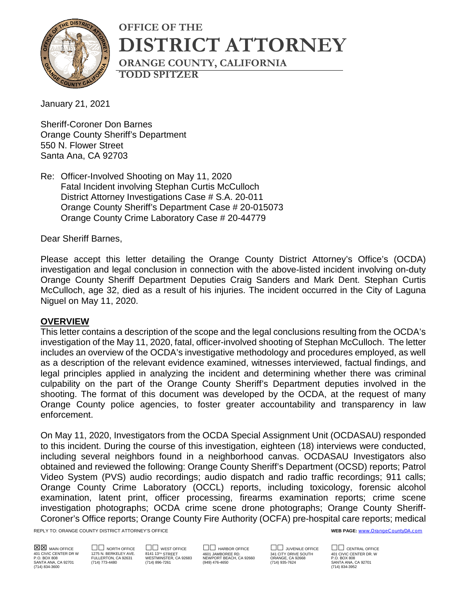

# **OFFICE OF THE DISTRICT ATTORNEY ORANGE COUNTY, CALIFORNIA TODD SPITZER**

January 21, 2021

Sheriff-Coroner Don Barnes Orange County Sheriff's Department 550 N. Flower Street Santa Ana, CA 92703

Re: Officer-Involved Shooting on May 11, 2020 Fatal Incident involving Stephan Curtis McCulloch District Attorney Investigations Case # S.A. 20-011 Orange County Sheriff's Department Case # 20-015073 Orange County Crime Laboratory Case # 20-44779

Dear Sheriff Barnes,

Please accept this letter detailing the Orange County District Attorney's Office's (OCDA) investigation and legal conclusion in connection with the above-listed incident involving on-duty Orange County Sheriff Department Deputies Craig Sanders and Mark Dent. Stephan Curtis McCulloch, age 32, died as a result of his injuries. The incident occurred in the City of Laguna Niguel on May 11, 2020.

#### **OVERVIEW**

This letter contains a description of the scope and the legal conclusions resulting from the OCDA's investigation of the May 11, 2020, fatal, officer-involved shooting of Stephan McCulloch. The letter includes an overview of the OCDA's investigative methodology and procedures employed, as well as a description of the relevant evidence examined, witnesses interviewed, factual findings, and legal principles applied in analyzing the incident and determining whether there was criminal culpability on the part of the Orange County Sheriff's Department deputies involved in the shooting. The format of this document was developed by the OCDA, at the request of many Orange County police agencies, to foster greater accountability and transparency in law enforcement.

On May 11, 2020, Investigators from the OCDA Special Assignment Unit (OCDASAU) responded to this incident. During the course of this investigation, eighteen (18) interviews were conducted, including several neighbors found in a neighborhood canvas. OCDASAU Investigators also obtained and reviewed the following: Orange County Sheriff's Department (OCSD) reports; Patrol Video System (PVS) audio recordings; audio dispatch and radio traffic recordings; 911 calls; Orange County Crime Laboratory (OCCL) reports, including toxicology, forensic alcohol examination, latent print, officer processing, firearms examination reports; crime scene investigation photographs; OCDA crime scene drone photographs; Orange County Sheriff-Coroner's Office reports; Orange County Fire Authority (OCFA) pre-hospital care reports; medical

REPLY TO: ORANGE COUNTY DISTRICT ATTORNEY'S OFFICE **WEB PAGE:** [www.OrangeCountyDA.com](http://www.orangecountyda.com/)

(714) 834-3600 (714) 834-3952

SANTA ANA, CA 92701 (714) 773-4480 (714) 896-7261 (949) 476-4650 (714) 935-7624 SANTA ANA, CA 92701

 $\boxtimes$  Main office  $\Box$  or the  $\Box$  west office  $\Box$  harbor office  $\Box$  juvenile office  $\Box$  central office<br>401 CIVIC CENTER DR. BERKELEY AVE. 8141 137ª 5TREET  $\Box$  and a start of the and city of the conter DR. West or<br>P.O 401 CIVIC CENTER DR W 1275 N. BERKELEY AVE. 8141 13™ STREET 4601 JAMBOREE RD. 341 CITY DRIVE SOUTHABOR WARD AO<br>P.O. BOX 808 FULLERTON, CA 92631 WESTMINSTER, CA 92683 NEWPORT BEACH, CA 92660 ORANGE, CA 92668 P.O. BOX 808 P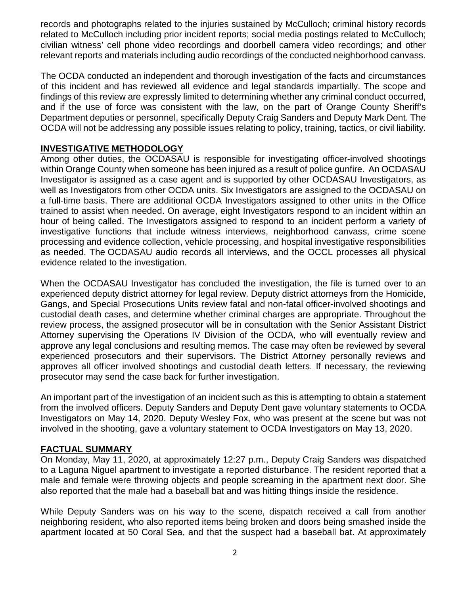records and photographs related to the injuries sustained by McCulloch; criminal history records related to McCulloch including prior incident reports; social media postings related to McCulloch; civilian witness' cell phone video recordings and doorbell camera video recordings; and other relevant reports and materials including audio recordings of the conducted neighborhood canvass.

The OCDA conducted an independent and thorough investigation of the facts and circumstances of this incident and has reviewed all evidence and legal standards impartially. The scope and findings of this review are expressly limited to determining whether any criminal conduct occurred, and if the use of force was consistent with the law, on the part of Orange County Sheriff's Department deputies or personnel, specifically Deputy Craig Sanders and Deputy Mark Dent. The OCDA will not be addressing any possible issues relating to policy, training, tactics, or civil liability.

### **INVESTIGATIVE METHODOLOGY**

Among other duties, the OCDASAU is responsible for investigating officer-involved shootings within Orange County when someone has been injured as a result of police gunfire. An OCDASAU Investigator is assigned as a case agent and is supported by other OCDASAU Investigators, as well as Investigators from other OCDA units. Six Investigators are assigned to the OCDASAU on a full-time basis. There are additional OCDA Investigators assigned to other units in the Office trained to assist when needed. On average, eight Investigators respond to an incident within an hour of being called. The Investigators assigned to respond to an incident perform a variety of investigative functions that include witness interviews, neighborhood canvass, crime scene processing and evidence collection, vehicle processing, and hospital investigative responsibilities as needed. The OCDASAU audio records all interviews, and the OCCL processes all physical evidence related to the investigation.

When the OCDASAU Investigator has concluded the investigation, the file is turned over to an experienced deputy district attorney for legal review. Deputy district attorneys from the Homicide, Gangs, and Special Prosecutions Units review fatal and non-fatal officer-involved shootings and custodial death cases, and determine whether criminal charges are appropriate. Throughout the review process, the assigned prosecutor will be in consultation with the Senior Assistant District Attorney supervising the Operations IV Division of the OCDA, who will eventually review and approve any legal conclusions and resulting memos. The case may often be reviewed by several experienced prosecutors and their supervisors. The District Attorney personally reviews and approves all officer involved shootings and custodial death letters. If necessary, the reviewing prosecutor may send the case back for further investigation.

An important part of the investigation of an incident such as this is attempting to obtain a statement from the involved officers. Deputy Sanders and Deputy Dent gave voluntary statements to OCDA Investigators on May 14, 2020. Deputy Wesley Fox, who was present at the scene but was not involved in the shooting, gave a voluntary statement to OCDA Investigators on May 13, 2020.

#### **FACTUAL SUMMARY**

On Monday, May 11, 2020, at approximately 12:27 p.m., Deputy Craig Sanders was dispatched to a Laguna Niguel apartment to investigate a reported disturbance. The resident reported that a male and female were throwing objects and people screaming in the apartment next door. She also reported that the male had a baseball bat and was hitting things inside the residence.

While Deputy Sanders was on his way to the scene, dispatch received a call from another neighboring resident, who also reported items being broken and doors being smashed inside the apartment located at 50 Coral Sea, and that the suspect had a baseball bat. At approximately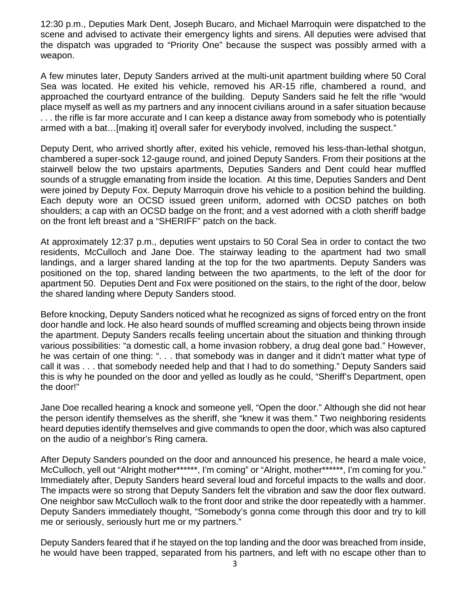12:30 p.m., Deputies Mark Dent, Joseph Bucaro, and Michael Marroquin were dispatched to the scene and advised to activate their emergency lights and sirens. All deputies were advised that the dispatch was upgraded to "Priority One" because the suspect was possibly armed with a weapon.

A few minutes later, Deputy Sanders arrived at the multi-unit apartment building where 50 Coral Sea was located. He exited his vehicle, removed his AR-15 rifle, chambered a round, and approached the courtyard entrance of the building. Deputy Sanders said he felt the rifle "would place myself as well as my partners and any innocent civilians around in a safer situation because . . . the rifle is far more accurate and I can keep a distance away from somebody who is potentially armed with a bat…[making it] overall safer for everybody involved, including the suspect."

Deputy Dent, who arrived shortly after, exited his vehicle, removed his less-than-lethal shotgun, chambered a super-sock 12-gauge round, and joined Deputy Sanders. From their positions at the stairwell below the two upstairs apartments, Deputies Sanders and Dent could hear muffled sounds of a struggle emanating from inside the location. At this time, Deputies Sanders and Dent were joined by Deputy Fox. Deputy Marroquin drove his vehicle to a position behind the building. Each deputy wore an OCSD issued green uniform, adorned with OCSD patches on both shoulders; a cap with an OCSD badge on the front; and a vest adorned with a cloth sheriff badge on the front left breast and a "SHERIFF" patch on the back.

At approximately 12:37 p.m., deputies went upstairs to 50 Coral Sea in order to contact the two residents, McCulloch and Jane Doe. The stairway leading to the apartment had two small landings, and a larger shared landing at the top for the two apartments. Deputy Sanders was positioned on the top, shared landing between the two apartments, to the left of the door for apartment 50. Deputies Dent and Fox were positioned on the stairs, to the right of the door, below the shared landing where Deputy Sanders stood.

Before knocking, Deputy Sanders noticed what he recognized as signs of forced entry on the front door handle and lock. He also heard sounds of muffled screaming and objects being thrown inside the apartment. Deputy Sanders recalls feeling uncertain about the situation and thinking through various possibilities: "a domestic call, a home invasion robbery, a drug deal gone bad." However, he was certain of one thing: ". . . that somebody was in danger and it didn't matter what type of call it was . . . that somebody needed help and that I had to do something." Deputy Sanders said this is why he pounded on the door and yelled as loudly as he could, "Sheriff's Department, open the door!"

Jane Doe recalled hearing a knock and someone yell, "Open the door." Although she did not hear the person identify themselves as the sheriff, she "knew it was them." Two neighboring residents heard deputies identify themselves and give commands to open the door, which was also captured on the audio of a neighbor's Ring camera.

After Deputy Sanders pounded on the door and announced his presence, he heard a male voice, McCulloch, yell out "Alright mother\*\*\*\*\*\*, I'm coming" or "Alright, mother\*\*\*\*\*\*, I'm coming for you." Immediately after, Deputy Sanders heard several loud and forceful impacts to the walls and door. The impacts were so strong that Deputy Sanders felt the vibration and saw the door flex outward. One neighbor saw McCulloch walk to the front door and strike the door repeatedly with a hammer. Deputy Sanders immediately thought, "Somebody's gonna come through this door and try to kill me or seriously, seriously hurt me or my partners."

Deputy Sanders feared that if he stayed on the top landing and the door was breached from inside, he would have been trapped, separated from his partners, and left with no escape other than to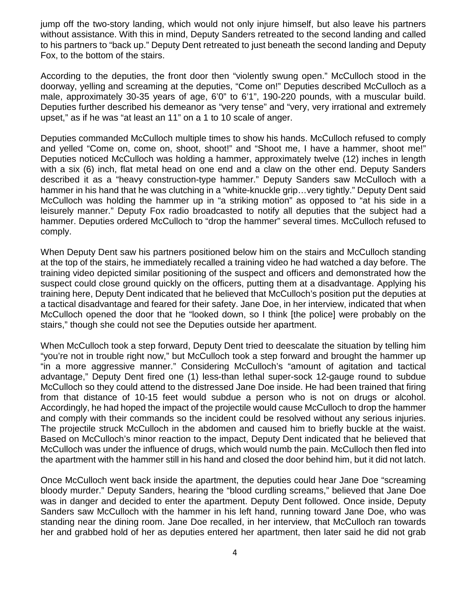jump off the two-story landing, which would not only injure himself, but also leave his partners without assistance. With this in mind, Deputy Sanders retreated to the second landing and called to his partners to "back up." Deputy Dent retreated to just beneath the second landing and Deputy Fox, to the bottom of the stairs.

According to the deputies, the front door then "violently swung open." McCulloch stood in the doorway, yelling and screaming at the deputies, "Come on!" Deputies described McCulloch as a male, approximately 30-35 years of age, 6'0" to 6'1", 190-220 pounds, with a muscular build. Deputies further described his demeanor as "very tense" and "very, very irrational and extremely upset," as if he was "at least an 11" on a 1 to 10 scale of anger.

Deputies commanded McCulloch multiple times to show his hands. McCulloch refused to comply and yelled "Come on, come on, shoot, shoot!" and "Shoot me, I have a hammer, shoot me!" Deputies noticed McCulloch was holding a hammer, approximately twelve (12) inches in length with a six (6) inch, flat metal head on one end and a claw on the other end. Deputy Sanders described it as a "heavy construction-type hammer." Deputy Sanders saw McCulloch with a hammer in his hand that he was clutching in a "white-knuckle grip... very tightly." Deputy Dent said McCulloch was holding the hammer up in "a striking motion" as opposed to "at his side in a leisurely manner." Deputy Fox radio broadcasted to notify all deputies that the subject had a hammer. Deputies ordered McCulloch to "drop the hammer" several times. McCulloch refused to comply.

When Deputy Dent saw his partners positioned below him on the stairs and McCulloch standing at the top of the stairs, he immediately recalled a training video he had watched a day before. The training video depicted similar positioning of the suspect and officers and demonstrated how the suspect could close ground quickly on the officers, putting them at a disadvantage. Applying his training here, Deputy Dent indicated that he believed that McCulloch's position put the deputies at a tactical disadvantage and feared for their safety. Jane Doe, in her interview, indicated that when McCulloch opened the door that he "looked down, so I think [the police] were probably on the stairs," though she could not see the Deputies outside her apartment.

When McCulloch took a step forward, Deputy Dent tried to deescalate the situation by telling him "you're not in trouble right now," but McCulloch took a step forward and brought the hammer up "in a more aggressive manner." Considering McCulloch's "amount of agitation and tactical advantage," Deputy Dent fired one (1) less-than lethal super-sock 12-gauge round to subdue McCulloch so they could attend to the distressed Jane Doe inside. He had been trained that firing from that distance of 10-15 feet would subdue a person who is not on drugs or alcohol. Accordingly, he had hoped the impact of the projectile would cause McCulloch to drop the hammer and comply with their commands so the incident could be resolved without any serious injuries. The projectile struck McCulloch in the abdomen and caused him to briefly buckle at the waist. Based on McCulloch's minor reaction to the impact, Deputy Dent indicated that he believed that McCulloch was under the influence of drugs, which would numb the pain. McCulloch then fled into the apartment with the hammer still in his hand and closed the door behind him, but it did not latch.

Once McCulloch went back inside the apartment, the deputies could hear Jane Doe "screaming bloody murder." Deputy Sanders, hearing the "blood curdling screams," believed that Jane Doe was in danger and decided to enter the apartment. Deputy Dent followed. Once inside, Deputy Sanders saw McCulloch with the hammer in his left hand, running toward Jane Doe, who was standing near the dining room. Jane Doe recalled, in her interview, that McCulloch ran towards her and grabbed hold of her as deputies entered her apartment, then later said he did not grab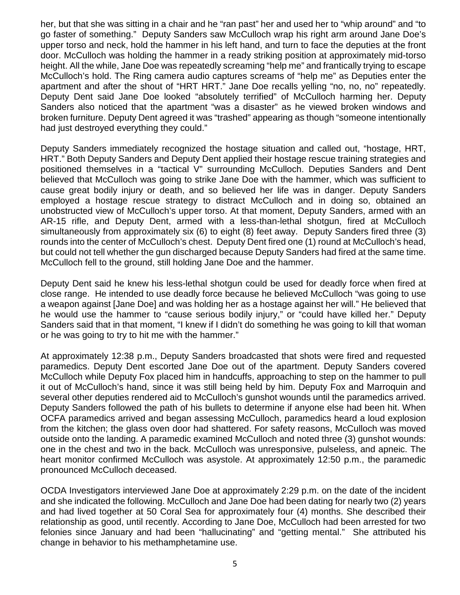her, but that she was sitting in a chair and he "ran past" her and used her to "whip around" and "to go faster of something." Deputy Sanders saw McCulloch wrap his right arm around Jane Doe's upper torso and neck, hold the hammer in his left hand, and turn to face the deputies at the front door. McCulloch was holding the hammer in a ready striking position at approximately mid-torso height. All the while, Jane Doe was repeatedly screaming "help me" and frantically trying to escape McCulloch's hold. The Ring camera audio captures screams of "help me" as Deputies enter the apartment and after the shout of "HRT HRT." Jane Doe recalls yelling "no, no, no" repeatedly. Deputy Dent said Jane Doe looked "absolutely terrified" of McCulloch harming her. Deputy Sanders also noticed that the apartment "was a disaster" as he viewed broken windows and broken furniture. Deputy Dent agreed it was "trashed" appearing as though "someone intentionally had just destroyed everything they could."

Deputy Sanders immediately recognized the hostage situation and called out, "hostage, HRT, HRT." Both Deputy Sanders and Deputy Dent applied their hostage rescue training strategies and positioned themselves in a "tactical V" surrounding McCulloch. Deputies Sanders and Dent believed that McCulloch was going to strike Jane Doe with the hammer, which was sufficient to cause great bodily injury or death, and so believed her life was in danger. Deputy Sanders employed a hostage rescue strategy to distract McCulloch and in doing so, obtained an unobstructed view of McCulloch's upper torso. At that moment, Deputy Sanders, armed with an AR-15 rifle, and Deputy Dent, armed with a less-than-lethal shotgun, fired at McCulloch simultaneously from approximately six (6) to eight (8) feet away. Deputy Sanders fired three (3) rounds into the center of McCulloch's chest. Deputy Dent fired one (1) round at McCulloch's head, but could not tell whether the gun discharged because Deputy Sanders had fired at the same time. McCulloch fell to the ground, still holding Jane Doe and the hammer.

Deputy Dent said he knew his less-lethal shotgun could be used for deadly force when fired at close range. He intended to use deadly force because he believed McCulloch "was going to use a weapon against [Jane Doe] and was holding her as a hostage against her will." He believed that he would use the hammer to "cause serious bodily injury," or "could have killed her." Deputy Sanders said that in that moment, "I knew if I didn't do something he was going to kill that woman or he was going to try to hit me with the hammer."

At approximately 12:38 p.m., Deputy Sanders broadcasted that shots were fired and requested paramedics. Deputy Dent escorted Jane Doe out of the apartment. Deputy Sanders covered McCulloch while Deputy Fox placed him in handcuffs, approaching to step on the hammer to pull it out of McCulloch's hand, since it was still being held by him. Deputy Fox and Marroquin and several other deputies rendered aid to McCulloch's gunshot wounds until the paramedics arrived. Deputy Sanders followed the path of his bullets to determine if anyone else had been hit. When OCFA paramedics arrived and began assessing McCulloch, paramedics heard a loud explosion from the kitchen; the glass oven door had shattered. For safety reasons, McCulloch was moved outside onto the landing. A paramedic examined McCulloch and noted three (3) gunshot wounds: one in the chest and two in the back. McCulloch was unresponsive, pulseless, and apneic. The heart monitor confirmed McCulloch was asystole. At approximately 12:50 p.m., the paramedic pronounced McCulloch deceased.

OCDA Investigators interviewed Jane Doe at approximately 2:29 p.m. on the date of the incident and she indicated the following. McCulloch and Jane Doe had been dating for nearly two (2) years and had lived together at 50 Coral Sea for approximately four (4) months. She described their relationship as good, until recently. According to Jane Doe, McCulloch had been arrested for two felonies since January and had been "hallucinating" and "getting mental." She attributed his change in behavior to his methamphetamine use.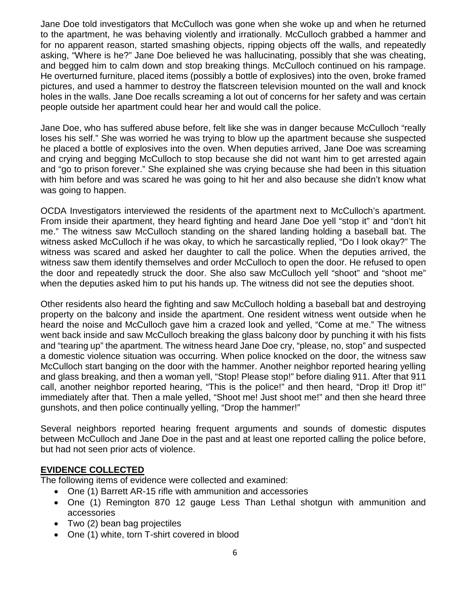Jane Doe told investigators that McCulloch was gone when she woke up and when he returned to the apartment, he was behaving violently and irrationally. McCulloch grabbed a hammer and for no apparent reason, started smashing objects, ripping objects off the walls, and repeatedly asking, "Where is he?" Jane Doe believed he was hallucinating, possibly that she was cheating, and begged him to calm down and stop breaking things. McCulloch continued on his rampage. He overturned furniture, placed items (possibly a bottle of explosives) into the oven, broke framed pictures, and used a hammer to destroy the flatscreen television mounted on the wall and knock holes in the walls. Jane Doe recalls screaming a lot out of concerns for her safety and was certain people outside her apartment could hear her and would call the police.

Jane Doe, who has suffered abuse before, felt like she was in danger because McCulloch "really loses his self." She was worried he was trying to blow up the apartment because she suspected he placed a bottle of explosives into the oven. When deputies arrived, Jane Doe was screaming and crying and begging McCulloch to stop because she did not want him to get arrested again and "go to prison forever." She explained she was crying because she had been in this situation with him before and was scared he was going to hit her and also because she didn't know what was going to happen.

OCDA Investigators interviewed the residents of the apartment next to McCulloch's apartment. From inside their apartment, they heard fighting and heard Jane Doe yell "stop it" and "don't hit me." The witness saw McCulloch standing on the shared landing holding a baseball bat. The witness asked McCulloch if he was okay, to which he sarcastically replied, "Do I look okay?" The witness was scared and asked her daughter to call the police. When the deputies arrived, the witness saw them identify themselves and order McCulloch to open the door. He refused to open the door and repeatedly struck the door. She also saw McCulloch yell "shoot" and "shoot me" when the deputies asked him to put his hands up. The witness did not see the deputies shoot.

Other residents also heard the fighting and saw McCulloch holding a baseball bat and destroying property on the balcony and inside the apartment. One resident witness went outside when he heard the noise and McCulloch gave him a crazed look and yelled, "Come at me." The witness went back inside and saw McCulloch breaking the glass balcony door by punching it with his fists and "tearing up" the apartment. The witness heard Jane Doe cry, "please, no, stop" and suspected a domestic violence situation was occurring. When police knocked on the door, the witness saw McCulloch start banging on the door with the hammer. Another neighbor reported hearing yelling and glass breaking, and then a woman yell, "Stop! Please stop!" before dialing 911. After that 911 call, another neighbor reported hearing, "This is the police!" and then heard, "Drop it! Drop it!" immediately after that. Then a male yelled, "Shoot me! Just shoot me!" and then she heard three gunshots, and then police continually yelling, "Drop the hammer!"

Several neighbors reported hearing frequent arguments and sounds of domestic disputes between McCulloch and Jane Doe in the past and at least one reported calling the police before, but had not seen prior acts of violence.

#### **EVIDENCE COLLECTED**

The following items of evidence were collected and examined:

- One (1) Barrett AR-15 rifle with ammunition and accessories
- One (1) Remington 870 12 gauge Less Than Lethal shotgun with ammunition and accessories
- Two (2) bean bag projectiles
- One (1) white, torn T-shirt covered in blood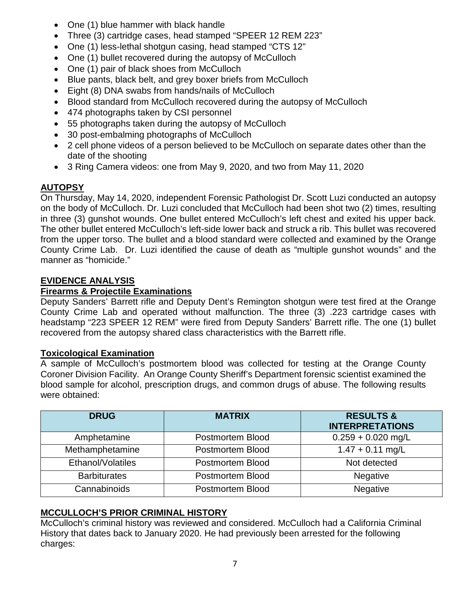- One (1) blue hammer with black handle
- Three (3) cartridge cases, head stamped "SPEER 12 REM 223"
- One (1) less-lethal shotgun casing, head stamped "CTS 12"
- One (1) bullet recovered during the autopsy of McCulloch
- One (1) pair of black shoes from McCulloch
- Blue pants, black belt, and grey boxer briefs from McCulloch
- Eight (8) DNA swabs from hands/nails of McCulloch
- Blood standard from McCulloch recovered during the autopsy of McCulloch
- 474 photographs taken by CSI personnel
- 55 photographs taken during the autopsy of McCulloch
- 30 post-embalming photographs of McCulloch
- 2 cell phone videos of a person believed to be McCulloch on separate dates other than the date of the shooting
- 3 Ring Camera videos: one from May 9, 2020, and two from May 11, 2020

## **AUTOPSY**

On Thursday, May 14, 2020, independent Forensic Pathologist Dr. Scott Luzi conducted an autopsy on the body of McCulloch. Dr. Luzi concluded that McCulloch had been shot two (2) times, resulting in three (3) gunshot wounds. One bullet entered McCulloch's left chest and exited his upper back. The other bullet entered McCulloch's left-side lower back and struck a rib. This bullet was recovered from the upper torso. The bullet and a blood standard were collected and examined by the Orange County Crime Lab. Dr. Luzi identified the cause of death as "multiple gunshot wounds" and the manner as "homicide."

## **EVIDENCE ANALYSIS**

## **Firearms & Projectile Examinations**

Deputy Sanders' Barrett rifle and Deputy Dent's Remington shotgun were test fired at the Orange County Crime Lab and operated without malfunction. The three (3) .223 cartridge cases with headstamp "223 SPEER 12 REM" were fired from Deputy Sanders' Barrett rifle. The one (1) bullet recovered from the autopsy shared class characteristics with the Barrett rifle.

## **Toxicological Examination**

A sample of McCulloch's postmortem blood was collected for testing at the Orange County Coroner Division Facility. An Orange County Sheriff's Department forensic scientist examined the blood sample for alcohol, prescription drugs, and common drugs of abuse. The following results were obtained:

| <b>DRUG</b>         | <b>MATRIX</b>    | <b>RESULTS &amp;</b><br><b>INTERPRETATIONS</b> |
|---------------------|------------------|------------------------------------------------|
| Amphetamine         | Postmortem Blood | $0.259 + 0.020$ mg/L                           |
| Methamphetamine     | Postmortem Blood | $1.47 + 0.11$ mg/L                             |
| Ethanol/Volatiles   | Postmortem Blood | Not detected                                   |
| <b>Barbiturates</b> | Postmortem Blood | <b>Negative</b>                                |
| Cannabinoids        | Postmortem Blood | Negative                                       |

## **MCCULLOCH'S PRIOR CRIMINAL HISTORY**

McCulloch's criminal history was reviewed and considered. McCulloch had a California Criminal History that dates back to January 2020. He had previously been arrested for the following charges: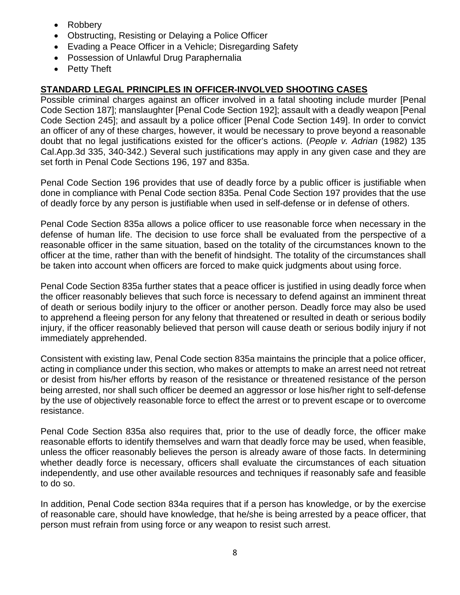- Robbery
- Obstructing, Resisting or Delaying a Police Officer
- Evading a Peace Officer in a Vehicle; Disregarding Safety
- Possession of Unlawful Drug Paraphernalia
- Petty Theft

## **STANDARD LEGAL PRINCIPLES IN OFFICER-INVOLVED SHOOTING CASES**

Possible criminal charges against an officer involved in a fatal shooting include murder [Penal Code Section 187]; manslaughter [Penal Code Section 192]; assault with a deadly weapon [Penal Code Section 245]; and assault by a police officer [Penal Code Section 149]. In order to convict an officer of any of these charges, however, it would be necessary to prove beyond a reasonable doubt that no legal justifications existed for the officer's actions. (*People v. Adrian* (1982) 135 Cal.App.3d 335, 340-342.) Several such justifications may apply in any given case and they are set forth in Penal Code Sections 196, 197 and 835a.

Penal Code Section 196 provides that use of deadly force by a public officer is justifiable when done in compliance with Penal Code section 835a. Penal Code Section 197 provides that the use of deadly force by any person is justifiable when used in self-defense or in defense of others.

Penal Code Section 835a allows a police officer to use reasonable force when necessary in the defense of human life. The decision to use force shall be evaluated from the perspective of a reasonable officer in the same situation, based on the totality of the circumstances known to the officer at the time, rather than with the benefit of hindsight. The totality of the circumstances shall be taken into account when officers are forced to make quick judgments about using force.

Penal Code Section 835a further states that a peace officer is justified in using deadly force when the officer reasonably believes that such force is necessary to defend against an imminent threat of death or serious bodily injury to the officer or another person. Deadly force may also be used to apprehend a fleeing person for any felony that threatened or resulted in death or serious bodily injury, if the officer reasonably believed that person will cause death or serious bodily injury if not immediately apprehended.

Consistent with existing law, Penal Code section 835a maintains the principle that a police officer, acting in compliance under this section, who makes or attempts to make an arrest need not retreat or desist from his/her efforts by reason of the resistance or threatened resistance of the person being arrested, nor shall such officer be deemed an aggressor or lose his/her right to self-defense by the use of objectively reasonable force to effect the arrest or to prevent escape or to overcome resistance.

Penal Code Section 835a also requires that, prior to the use of deadly force, the officer make reasonable efforts to identify themselves and warn that deadly force may be used, when feasible, unless the officer reasonably believes the person is already aware of those facts. In determining whether deadly force is necessary, officers shall evaluate the circumstances of each situation independently, and use other available resources and techniques if reasonably safe and feasible to do so.

In addition, Penal Code section 834a requires that if a person has knowledge, or by the exercise of reasonable care, should have knowledge, that he/she is being arrested by a peace officer, that person must refrain from using force or any weapon to resist such arrest.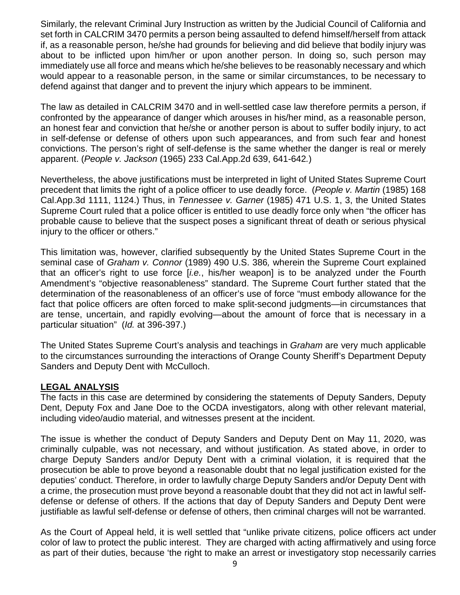Similarly, the relevant Criminal Jury Instruction as written by the Judicial Council of California and set forth in CALCRIM 3470 permits a person being assaulted to defend himself/herself from attack if, as a reasonable person, he/she had grounds for believing and did believe that bodily injury was about to be inflicted upon him/her or upon another person. In doing so, such person may immediately use all force and means which he/she believes to be reasonably necessary and which would appear to a reasonable person, in the same or similar circumstances, to be necessary to defend against that danger and to prevent the injury which appears to be imminent.

The law as detailed in CALCRIM 3470 and in well-settled case law therefore permits a person, if confronted by the appearance of danger which arouses in his/her mind, as a reasonable person, an honest fear and conviction that he/she or another person is about to suffer bodily injury, to act in self-defense or defense of others upon such appearances, and from such fear and honest convictions. The person's right of self-defense is the same whether the danger is real or merely apparent. (*People v. Jackson* (1965) 233 Cal.App.2d 639, 641-642*.*)

Nevertheless, the above justifications must be interpreted in light of United States Supreme Court precedent that limits the right of a police officer to use deadly force. (*People v. Martin* (1985) 168 Cal.App.3d 1111, 1124.) Thus, in *Tennessee v. Garner* (1985) 471 U.S. 1, 3, the United States Supreme Court ruled that a police officer is entitled to use deadly force only when "the officer has probable cause to believe that the suspect poses a significant threat of death or serious physical injury to the officer or others."

This limitation was, however, clarified subsequently by the United States Supreme Court in the seminal case of *Graham v. Connor* (1989) 490 U.S. 386*,* wherein the Supreme Court explained that an officer's right to use force [*i.e.*, his/her weapon] is to be analyzed under the Fourth Amendment's "objective reasonableness" standard. The Supreme Court further stated that the determination of the reasonableness of an officer's use of force "must embody allowance for the fact that police officers are often forced to make split-second judgments—in circumstances that are tense, uncertain, and rapidly evolving—about the amount of force that is necessary in a particular situation" (*Id.* at 396-397.)

The United States Supreme Court's analysis and teachings in *Graham* are very much applicable to the circumstances surrounding the interactions of Orange County Sheriff's Department Deputy Sanders and Deputy Dent with McCulloch.

#### **LEGAL ANALYSIS**

The facts in this case are determined by considering the statements of Deputy Sanders, Deputy Dent, Deputy Fox and Jane Doe to the OCDA investigators, along with other relevant material, including video/audio material, and witnesses present at the incident.

The issue is whether the conduct of Deputy Sanders and Deputy Dent on May 11, 2020, was criminally culpable, was not necessary, and without justification. As stated above, in order to charge Deputy Sanders and/or Deputy Dent with a criminal violation, it is required that the prosecution be able to prove beyond a reasonable doubt that no legal justification existed for the deputies' conduct. Therefore, in order to lawfully charge Deputy Sanders and/or Deputy Dent with a crime, the prosecution must prove beyond a reasonable doubt that they did not act in lawful selfdefense or defense of others. If the actions that day of Deputy Sanders and Deputy Dent were justifiable as lawful self-defense or defense of others, then criminal charges will not be warranted.

As the Court of Appeal held, it is well settled that "unlike private citizens, police officers act under color of law to protect the public interest. They are charged with acting affirmatively and using force as part of their duties, because 'the right to make an arrest or investigatory stop necessarily carries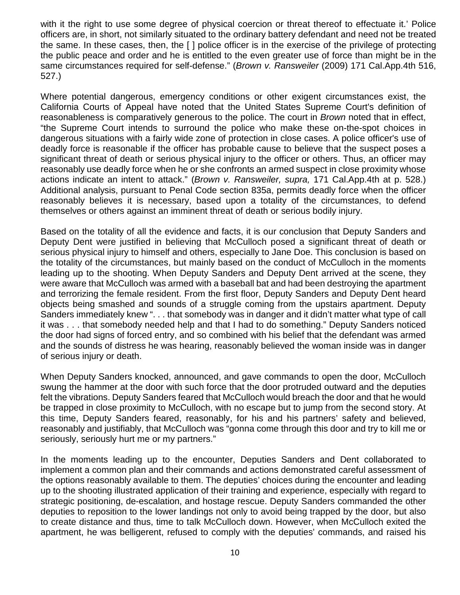with it the right to use some degree of physical coercion or threat thereof to effectuate it.' Police officers are, in short, not similarly situated to the ordinary battery defendant and need not be treated the same. In these cases, then, the [ ] police officer is in the exercise of the privilege of protecting the public peace and order and he is entitled to the even greater use of force than might be in the same circumstances required for self-defense." (*Brown v. Ransweiler* (2009) 171 Cal.App.4th 516, 527.)

Where potential dangerous, emergency conditions or other exigent circumstances exist, the California Courts of Appeal have noted that the United States Supreme Court's definition of reasonableness is comparatively generous to the police. The court in *Brown* noted that in effect, "the Supreme Court intends to surround the police who make these on-the-spot choices in dangerous situations with a fairly wide zone of protection in close cases. A police officer's use of deadly force is reasonable if the officer has probable cause to believe that the suspect poses a significant threat of death or serious physical injury to the officer or others. Thus, an officer may reasonably use deadly force when he or she confronts an armed suspect in close proximity whose actions indicate an intent to attack." (*Brown v. Ransweiler, supra,* 171 Cal.App.4th at p. 528.) Additional analysis, pursuant to Penal Code section 835a, permits deadly force when the officer reasonably believes it is necessary, based upon a totality of the circumstances, to defend themselves or others against an imminent threat of death or serious bodily injury.

Based on the totality of all the evidence and facts, it is our conclusion that Deputy Sanders and Deputy Dent were justified in believing that McCulloch posed a significant threat of death or serious physical injury to himself and others, especially to Jane Doe. This conclusion is based on the totality of the circumstances, but mainly based on the conduct of McCulloch in the moments leading up to the shooting. When Deputy Sanders and Deputy Dent arrived at the scene, they were aware that McCulloch was armed with a baseball bat and had been destroying the apartment and terrorizing the female resident. From the first floor, Deputy Sanders and Deputy Dent heard objects being smashed and sounds of a struggle coming from the upstairs apartment. Deputy Sanders immediately knew ". . . that somebody was in danger and it didn't matter what type of call it was . . . that somebody needed help and that I had to do something." Deputy Sanders noticed the door had signs of forced entry, and so combined with his belief that the defendant was armed and the sounds of distress he was hearing, reasonably believed the woman inside was in danger of serious injury or death.

When Deputy Sanders knocked, announced, and gave commands to open the door, McCulloch swung the hammer at the door with such force that the door protruded outward and the deputies felt the vibrations. Deputy Sanders feared that McCulloch would breach the door and that he would be trapped in close proximity to McCulloch, with no escape but to jump from the second story. At this time, Deputy Sanders feared, reasonably, for his and his partners' safety and believed, reasonably and justifiably, that McCulloch was "gonna come through this door and try to kill me or seriously, seriously hurt me or my partners."

In the moments leading up to the encounter, Deputies Sanders and Dent collaborated to implement a common plan and their commands and actions demonstrated careful assessment of the options reasonably available to them. The deputies' choices during the encounter and leading up to the shooting illustrated application of their training and experience, especially with regard to strategic positioning, de-escalation, and hostage rescue. Deputy Sanders commanded the other deputies to reposition to the lower landings not only to avoid being trapped by the door, but also to create distance and thus, time to talk McCulloch down. However, when McCulloch exited the apartment, he was belligerent, refused to comply with the deputies' commands, and raised his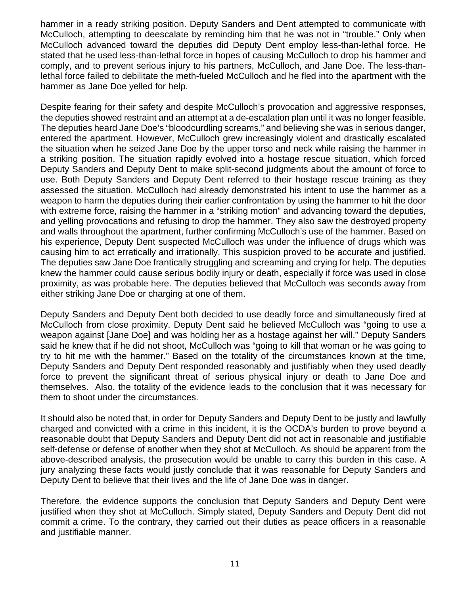hammer in a ready striking position. Deputy Sanders and Dent attempted to communicate with McCulloch, attempting to deescalate by reminding him that he was not in "trouble." Only when McCulloch advanced toward the deputies did Deputy Dent employ less-than-lethal force. He stated that he used less-than-lethal force in hopes of causing McCulloch to drop his hammer and comply, and to prevent serious injury to his partners, McCulloch, and Jane Doe. The less-thanlethal force failed to debilitate the meth-fueled McCulloch and he fled into the apartment with the hammer as Jane Doe yelled for help.

Despite fearing for their safety and despite McCulloch's provocation and aggressive responses, the deputies showed restraint and an attempt at a de-escalation plan until it was no longer feasible. The deputies heard Jane Doe's "bloodcurdling screams," and believing she was in serious danger, entered the apartment. However, McCulloch grew increasingly violent and drastically escalated the situation when he seized Jane Doe by the upper torso and neck while raising the hammer in a striking position. The situation rapidly evolved into a hostage rescue situation, which forced Deputy Sanders and Deputy Dent to make split-second judgments about the amount of force to use. Both Deputy Sanders and Deputy Dent referred to their hostage rescue training as they assessed the situation. McCulloch had already demonstrated his intent to use the hammer as a weapon to harm the deputies during their earlier confrontation by using the hammer to hit the door with extreme force, raising the hammer in a "striking motion" and advancing toward the deputies, and yelling provocations and refusing to drop the hammer. They also saw the destroyed property and walls throughout the apartment, further confirming McCulloch's use of the hammer. Based on his experience, Deputy Dent suspected McCulloch was under the influence of drugs which was causing him to act erratically and irrationally. This suspicion proved to be accurate and justified. The deputies saw Jane Doe frantically struggling and screaming and crying for help. The deputies knew the hammer could cause serious bodily injury or death, especially if force was used in close proximity, as was probable here. The deputies believed that McCulloch was seconds away from either striking Jane Doe or charging at one of them.

Deputy Sanders and Deputy Dent both decided to use deadly force and simultaneously fired at McCulloch from close proximity. Deputy Dent said he believed McCulloch was "going to use a weapon against [Jane Doe] and was holding her as a hostage against her will." Deputy Sanders said he knew that if he did not shoot, McCulloch was "going to kill that woman or he was going to try to hit me with the hammer." Based on the totality of the circumstances known at the time, Deputy Sanders and Deputy Dent responded reasonably and justifiably when they used deadly force to prevent the significant threat of serious physical injury or death to Jane Doe and themselves. Also, the totality of the evidence leads to the conclusion that it was necessary for them to shoot under the circumstances.

It should also be noted that, in order for Deputy Sanders and Deputy Dent to be justly and lawfully charged and convicted with a crime in this incident, it is the OCDA's burden to prove beyond a reasonable doubt that Deputy Sanders and Deputy Dent did not act in reasonable and justifiable self-defense or defense of another when they shot at McCulloch. As should be apparent from the above-described analysis, the prosecution would be unable to carry this burden in this case. A jury analyzing these facts would justly conclude that it was reasonable for Deputy Sanders and Deputy Dent to believe that their lives and the life of Jane Doe was in danger.

Therefore, the evidence supports the conclusion that Deputy Sanders and Deputy Dent were justified when they shot at McCulloch. Simply stated, Deputy Sanders and Deputy Dent did not commit a crime. To the contrary, they carried out their duties as peace officers in a reasonable and justifiable manner.